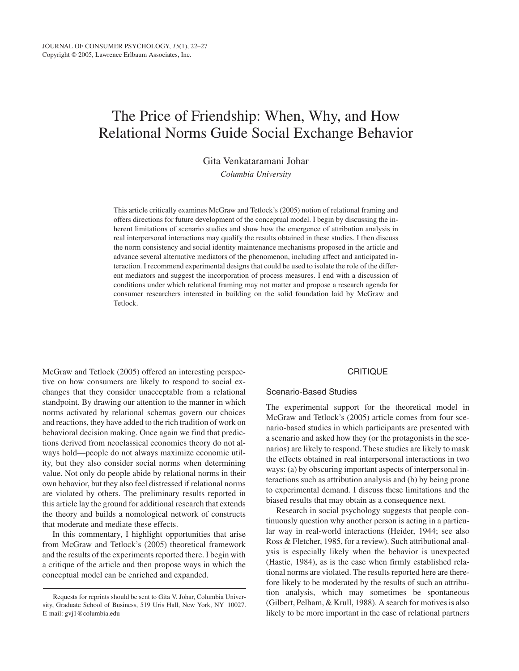# The Price of Friendship: When, Why, and How Relational Norms Guide Social Exchange Behavior

Gita Venkataramani Johar

*Columbia University*

This article critically examines McGraw and Tetlock's (2005) notion of relational framing and offers directions for future development of the conceptual model. I begin by discussing the inherent limitations of scenario studies and show how the emergence of attribution analysis in real interpersonal interactions may qualify the results obtained in these studies. I then discuss the norm consistency and social identity maintenance mechanisms proposed in the article and advance several alternative mediators of the phenomenon, including affect and anticipated interaction. I recommend experimental designs that could be used to isolate the role of the different mediators and suggest the incorporation of process measures. I end with a discussion of conditions under which relational framing may not matter and propose a research agenda for consumer researchers interested in building on the solid foundation laid by McGraw and Tetlock.

McGraw and Tetlock (2005) offered an interesting perspective on how consumers are likely to respond to social exchanges that they consider unacceptable from a relational standpoint. By drawing our attention to the manner in which norms activated by relational schemas govern our choices and reactions, they have added to the rich tradition of work on behavioral decision making. Once again we find that predictions derived from neoclassical economics theory do not always hold—people do not always maximize economic utility, but they also consider social norms when determining value. Not only do people abide by relational norms in their own behavior, but they also feel distressed if relational norms are violated by others. The preliminary results reported in this article lay the ground for additional research that extends the theory and builds a nomological network of constructs that moderate and mediate these effects.

In this commentary, I highlight opportunities that arise from McGraw and Tetlock's (2005) theoretical framework and the results of the experiments reported there. I begin with a critique of the article and then propose ways in which the conceptual model can be enriched and expanded.

#### **CRITIQUE**

### Scenario-Based Studies

The experimental support for the theoretical model in McGraw and Tetlock's (2005) article comes from four scenario-based studies in which participants are presented with a scenario and asked how they (or the protagonists in the scenarios) are likely to respond. These studies are likely to mask the effects obtained in real interpersonal interactions in two ways: (a) by obscuring important aspects of interpersonal interactions such as attribution analysis and (b) by being prone to experimental demand. I discuss these limitations and the biased results that may obtain as a consequence next.

Research in social psychology suggests that people continuously question why another person is acting in a particular way in real-world interactions (Heider, 1944; see also Ross & Fletcher, 1985, for a review). Such attributional analysis is especially likely when the behavior is unexpected (Hastie, 1984), as is the case when firmly established relational norms are violated. The results reported here are therefore likely to be moderated by the results of such an attribution analysis, which may sometimes be spontaneous (Gilbert, Pelham, & Krull, 1988). A search for motives is also likely to be more important in the case of relational partners

Requests for reprints should be sent to Gita V. Johar, Columbia University, Graduate School of Business, 519 Uris Hall, New York, NY 10027. E-mail: gvj1@columbia.edu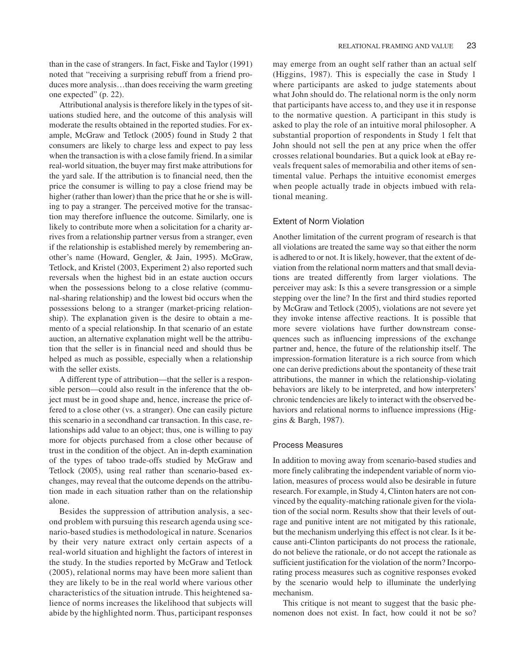than in the case of strangers. In fact, Fiske and Taylor (1991) noted that "receiving a surprising rebuff from a friend produces more analysis…than does receiving the warm greeting one expected" (p. 22).

Attributional analysis is therefore likely in the types of situations studied here, and the outcome of this analysis will moderate the results obtained in the reported studies. For example, McGraw and Tetlock (2005) found in Study 2 that consumers are likely to charge less and expect to pay less when the transaction is with a close family friend. In a similar real-world situation, the buyer may first make attributions for the yard sale. If the attribution is to financial need, then the price the consumer is willing to pay a close friend may be higher (rather than lower) than the price that he or she is willing to pay a stranger. The perceived motive for the transaction may therefore influence the outcome. Similarly, one is likely to contribute more when a solicitation for a charity arrives from a relationship partner versus from a stranger, even if the relationship is established merely by remembering another's name (Howard, Gengler, & Jain, 1995). McGraw, Tetlock, and Kristel (2003, Experiment 2) also reported such reversals when the highest bid in an estate auction occurs when the possessions belong to a close relative (communal-sharing relationship) and the lowest bid occurs when the possessions belong to a stranger (market-pricing relationship). The explanation given is the desire to obtain a memento of a special relationship. In that scenario of an estate auction, an alternative explanation might well be the attribution that the seller is in financial need and should thus be helped as much as possible, especially when a relationship with the seller exists.

A different type of attribution—that the seller is a responsible person—could also result in the inference that the object must be in good shape and, hence, increase the price offered to a close other (vs. a stranger). One can easily picture this scenario in a secondhand car transaction. In this case, relationships add value to an object; thus, one is willing to pay more for objects purchased from a close other because of trust in the condition of the object. An in-depth examination of the types of taboo trade-offs studied by McGraw and Tetlock (2005), using real rather than scenario-based exchanges, may reveal that the outcome depends on the attribution made in each situation rather than on the relationship alone.

Besides the suppression of attribution analysis, a second problem with pursuing this research agenda using scenario-based studies is methodological in nature. Scenarios by their very nature extract only certain aspects of a real-world situation and highlight the factors of interest in the study. In the studies reported by McGraw and Tetlock (2005), relational norms may have been more salient than they are likely to be in the real world where various other characteristics of the situation intrude. This heightened salience of norms increases the likelihood that subjects will abide by the highlighted norm. Thus, participant responses

may emerge from an ought self rather than an actual self (Higgins, 1987). This is especially the case in Study 1 where participants are asked to judge statements about what John should do. The relational norm is the only norm that participants have access to, and they use it in response to the normative question. A participant in this study is asked to play the role of an intuitive moral philosopher. A substantial proportion of respondents in Study 1 felt that John should not sell the pen at any price when the offer crosses relational boundaries. But a quick look at eBay reveals frequent sales of memorabilia and other items of sentimental value. Perhaps the intuitive economist emerges when people actually trade in objects imbued with relational meaning.

#### Extent of Norm Violation

Another limitation of the current program of research is that all violations are treated the same way so that either the norm is adhered to or not. It is likely, however, that the extent of deviation from the relational norm matters and that small deviations are treated differently from larger violations. The perceiver may ask: Is this a severe transgression or a simple stepping over the line? In the first and third studies reported by McGraw and Tetlock (2005), violations are not severe yet they invoke intense affective reactions. It is possible that more severe violations have further downstream consequences such as influencing impressions of the exchange partner and, hence, the future of the relationship itself. The impression-formation literature is a rich source from which one can derive predictions about the spontaneity of these trait attributions, the manner in which the relationship-violating behaviors are likely to be interpreted, and how interpreters' chronic tendencies are likely to interact with the observed behaviors and relational norms to influence impressions (Higgins & Bargh, 1987).

#### Process Measures

In addition to moving away from scenario-based studies and more finely calibrating the independent variable of norm violation, measures of process would also be desirable in future research. For example, in Study 4, Clinton haters are not convinced by the equality-matching rationale given for the violation of the social norm. Results show that their levels of outrage and punitive intent are not mitigated by this rationale, but the mechanism underlying this effect is not clear. Is it because anti-Clinton participants do not process the rationale, do not believe the rationale, or do not accept the rationale as sufficient justification for the violation of the norm? Incorporating process measures such as cognitive responses evoked by the scenario would help to illuminate the underlying mechanism.

This critique is not meant to suggest that the basic phenomenon does not exist. In fact, how could it not be so?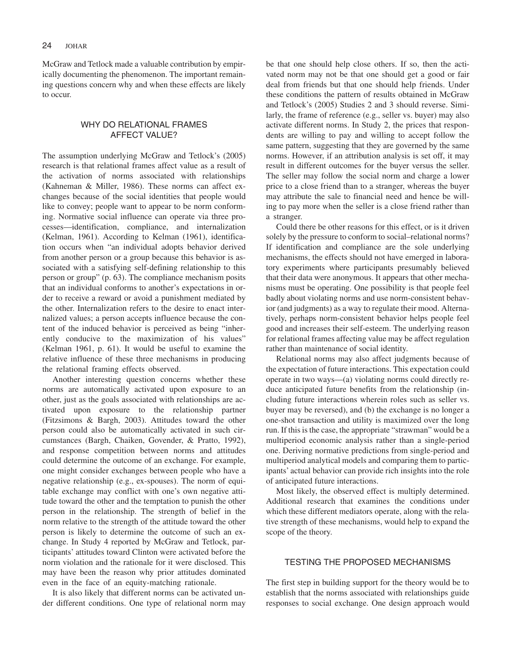McGraw and Tetlock made a valuable contribution by empirically documenting the phenomenon. The important remaining questions concern why and when these effects are likely to occur.

# WHY DO RELATIONAL FRAMES AFFECT VALUE?

The assumption underlying McGraw and Tetlock's (2005) research is that relational frames affect value as a result of the activation of norms associated with relationships (Kahneman & Miller, 1986). These norms can affect exchanges because of the social identities that people would like to convey; people want to appear to be norm conforming. Normative social influence can operate via three processes—identification, compliance, and internalization (Kelman, 1961). According to Kelman (1961), identification occurs when "an individual adopts behavior derived from another person or a group because this behavior is associated with a satisfying self-defining relationship to this person or group" (p. 63). The compliance mechanism posits that an individual conforms to another's expectations in order to receive a reward or avoid a punishment mediated by the other. Internalization refers to the desire to enact internalized values; a person accepts influence because the content of the induced behavior is perceived as being "inherently conducive to the maximization of his values" (Kelman 1961, p. 61). It would be useful to examine the relative influence of these three mechanisms in producing the relational framing effects observed.

Another interesting question concerns whether these norms are automatically activated upon exposure to an other, just as the goals associated with relationships are activated upon exposure to the relationship partner (Fitzsimons & Bargh, 2003). Attitudes toward the other person could also be automatically activated in such circumstances (Bargh, Chaiken, Govender, & Pratto, 1992), and response competition between norms and attitudes could determine the outcome of an exchange. For example, one might consider exchanges between people who have a negative relationship (e.g., ex-spouses). The norm of equitable exchange may conflict with one's own negative attitude toward the other and the temptation to punish the other person in the relationship. The strength of belief in the norm relative to the strength of the attitude toward the other person is likely to determine the outcome of such an exchange. In Study 4 reported by McGraw and Tetlock, participants' attitudes toward Clinton were activated before the norm violation and the rationale for it were disclosed. This may have been the reason why prior attitudes dominated even in the face of an equity-matching rationale.

It is also likely that different norms can be activated under different conditions. One type of relational norm may be that one should help close others. If so, then the activated norm may not be that one should get a good or fair deal from friends but that one should help friends. Under these conditions the pattern of results obtained in McGraw and Tetlock's (2005) Studies 2 and 3 should reverse. Similarly, the frame of reference (e.g., seller vs. buyer) may also activate different norms. In Study 2, the prices that respondents are willing to pay and willing to accept follow the same pattern, suggesting that they are governed by the same norms. However, if an attribution analysis is set off, it may result in different outcomes for the buyer versus the seller. The seller may follow the social norm and charge a lower price to a close friend than to a stranger, whereas the buyer may attribute the sale to financial need and hence be willing to pay more when the seller is a close friend rather than a stranger.

Could there be other reasons for this effect, or is it driven solely by the pressure to conform to social–relational norms? If identification and compliance are the sole underlying mechanisms, the effects should not have emerged in laboratory experiments where participants presumably believed that their data were anonymous. It appears that other mechanisms must be operating. One possibility is that people feel badly about violating norms and use norm-consistent behavior (and judgments) as a way to regulate their mood. Alternatively, perhaps norm-consistent behavior helps people feel good and increases their self-esteem. The underlying reason for relational frames affecting value may be affect regulation rather than maintenance of social identity.

Relational norms may also affect judgments because of the expectation of future interactions. This expectation could operate in two ways—(a) violating norms could directly reduce anticipated future benefits from the relationship (including future interactions wherein roles such as seller vs. buyer may be reversed), and (b) the exchange is no longer a one-shot transaction and utility is maximized over the long run. If this is the case, the appropriate "strawman" would be a multiperiod economic analysis rather than a single-period one. Deriving normative predictions from single-period and multiperiod analytical models and comparing them to participants' actual behavior can provide rich insights into the role of anticipated future interactions.

Most likely, the observed effect is multiply determined. Additional research that examines the conditions under which these different mediators operate, along with the relative strength of these mechanisms, would help to expand the scope of the theory.

# TESTING THE PROPOSED MECHANISMS

The first step in building support for the theory would be to establish that the norms associated with relationships guide responses to social exchange. One design approach would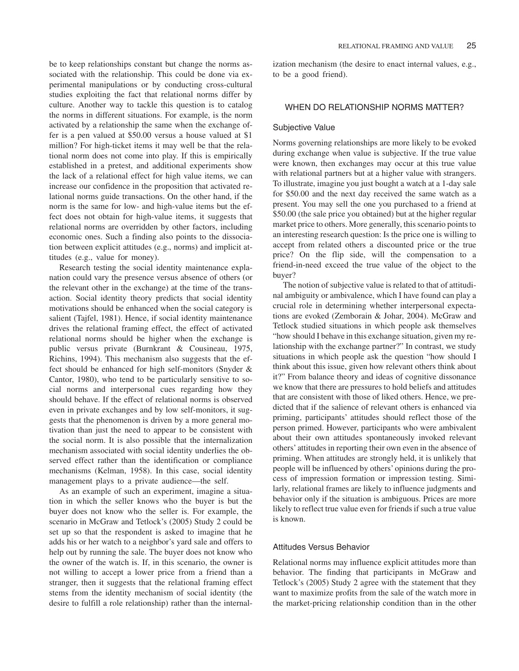be to keep relationships constant but change the norms associated with the relationship. This could be done via experimental manipulations or by conducting cross-cultural studies exploiting the fact that relational norms differ by culture. Another way to tackle this question is to catalog the norms in different situations. For example, is the norm activated by a relationship the same when the exchange offer is a pen valued at \$50.00 versus a house valued at \$1 million? For high-ticket items it may well be that the relational norm does not come into play. If this is empirically established in a pretest, and additional experiments show the lack of a relational effect for high value items, we can increase our confidence in the proposition that activated relational norms guide transactions. On the other hand, if the norm is the same for low- and high-value items but the effect does not obtain for high-value items, it suggests that relational norms are overridden by other factors, including economic ones. Such a finding also points to the dissociation between explicit attitudes (e.g., norms) and implicit attitudes (e.g., value for money).

Research testing the social identity maintenance explanation could vary the presence versus absence of others (or the relevant other in the exchange) at the time of the transaction. Social identity theory predicts that social identity motivations should be enhanced when the social category is salient (Tajfel, 1981). Hence, if social identity maintenance drives the relational framing effect, the effect of activated relational norms should be higher when the exchange is public versus private (Burnkrant & Cousineau, 1975, Richins, 1994). This mechanism also suggests that the effect should be enhanced for high self-monitors (Snyder & Cantor, 1980), who tend to be particularly sensitive to social norms and interpersonal cues regarding how they should behave. If the effect of relational norms is observed even in private exchanges and by low self-monitors, it suggests that the phenomenon is driven by a more general motivation than just the need to appear to be consistent with the social norm. It is also possible that the internalization mechanism associated with social identity underlies the observed effect rather than the identification or compliance mechanisms (Kelman, 1958). In this case, social identity management plays to a private audience—the self.

As an example of such an experiment, imagine a situation in which the seller knows who the buyer is but the buyer does not know who the seller is. For example, the scenario in McGraw and Tetlock's (2005) Study 2 could be set up so that the respondent is asked to imagine that he adds his or her watch to a neighbor's yard sale and offers to help out by running the sale. The buyer does not know who the owner of the watch is. If, in this scenario, the owner is not willing to accept a lower price from a friend than a stranger, then it suggests that the relational framing effect stems from the identity mechanism of social identity (the desire to fulfill a role relationship) rather than the internalization mechanism (the desire to enact internal values, e.g., to be a good friend).

## WHEN DO RELATIONSHIP NORMS MATTER?

#### Subjective Value

Norms governing relationships are more likely to be evoked during exchange when value is subjective. If the true value were known, then exchanges may occur at this true value with relational partners but at a higher value with strangers. To illustrate, imagine you just bought a watch at a 1-day sale for \$50.00 and the next day received the same watch as a present. You may sell the one you purchased to a friend at \$50.00 (the sale price you obtained) but at the higher regular market price to others. More generally, this scenario points to an interesting research question: Is the price one is willing to accept from related others a discounted price or the true price? On the flip side, will the compensation to a friend-in-need exceed the true value of the object to the buyer?

The notion of subjective value is related to that of attitudinal ambiguity or ambivalence, which I have found can play a crucial role in determining whether interpersonal expectations are evoked (Zemborain & Johar, 2004). McGraw and Tetlock studied situations in which people ask themselves "how should I behave in this exchange situation, given my relationship with the exchange partner?" In contrast, we study situations in which people ask the question "how should I think about this issue, given how relevant others think about it?" From balance theory and ideas of cognitive dissonance we know that there are pressures to hold beliefs and attitudes that are consistent with those of liked others. Hence, we predicted that if the salience of relevant others is enhanced via priming, participants' attitudes should reflect those of the person primed. However, participants who were ambivalent about their own attitudes spontaneously invoked relevant others' attitudes in reporting their own even in the absence of priming. When attitudes are strongly held, it is unlikely that people will be influenced by others' opinions during the process of impression formation or impression testing. Similarly, relational frames are likely to influence judgments and behavior only if the situation is ambiguous. Prices are more likely to reflect true value even for friends if such a true value is known.

## Attitudes Versus Behavior

Relational norms may influence explicit attitudes more than behavior. The finding that participants in McGraw and Tetlock's (2005) Study 2 agree with the statement that they want to maximize profits from the sale of the watch more in the market-pricing relationship condition than in the other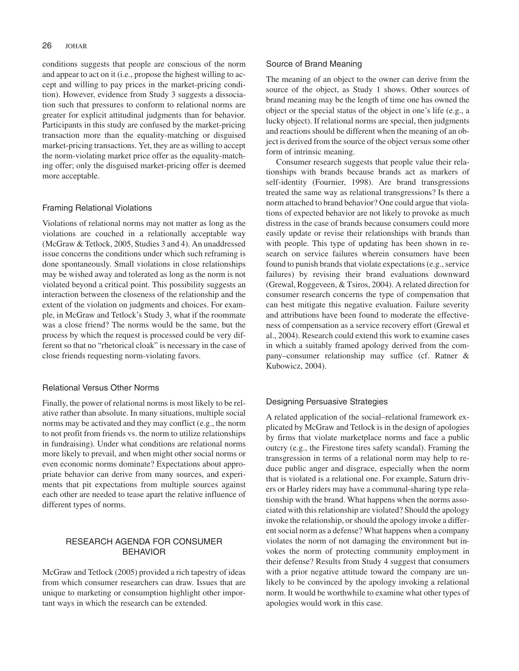#### 26 **JOHAR**

conditions suggests that people are conscious of the norm and appear to act on it (i.e., propose the highest willing to accept and willing to pay prices in the market-pricing condition). However, evidence from Study 3 suggests a dissociation such that pressures to conform to relational norms are greater for explicit attitudinal judgments than for behavior. Participants in this study are confused by the market-pricing transaction more than the equality-matching or disguised market-pricing transactions. Yet, they are as willing to accept the norm-violating market price offer as the equality-matching offer; only the disguised market-pricing offer is deemed more acceptable.

### Framing Relational Violations

Violations of relational norms may not matter as long as the violations are couched in a relationally acceptable way (McGraw & Tetlock, 2005, Studies 3 and 4). An unaddressed issue concerns the conditions under which such reframing is done spontaneously. Small violations in close relationships may be wished away and tolerated as long as the norm is not violated beyond a critical point. This possibility suggests an interaction between the closeness of the relationship and the extent of the violation on judgments and choices. For example, in McGraw and Tetlock's Study 3, what if the roommate was a close friend? The norms would be the same, but the process by which the request is processed could be very different so that no "rhetorical cloak" is necessary in the case of close friends requesting norm-violating favors.

## Relational Versus Other Norms

Finally, the power of relational norms is most likely to be relative rather than absolute. In many situations, multiple social norms may be activated and they may conflict (e.g., the norm to not profit from friends vs. the norm to utilize relationships in fundraising). Under what conditions are relational norms more likely to prevail, and when might other social norms or even economic norms dominate? Expectations about appropriate behavior can derive from many sources, and experiments that pit expectations from multiple sources against each other are needed to tease apart the relative influence of different types of norms.

# RESEARCH AGENDA FOR CONSUMER BEHAVIOR

McGraw and Tetlock (2005) provided a rich tapestry of ideas from which consumer researchers can draw. Issues that are unique to marketing or consumption highlight other important ways in which the research can be extended.

### Source of Brand Meaning

The meaning of an object to the owner can derive from the source of the object, as Study 1 shows. Other sources of brand meaning may be the length of time one has owned the object or the special status of the object in one's life (e.g., a lucky object). If relational norms are special, then judgments and reactions should be different when the meaning of an object is derived from the source of the object versus some other form of intrinsic meaning.

Consumer research suggests that people value their relationships with brands because brands act as markers of self-identity (Fournier, 1998). Are brand transgressions treated the same way as relational transgressions? Is there a norm attached to brand behavior? One could argue that violations of expected behavior are not likely to provoke as much distress in the case of brands because consumers could more easily update or revise their relationships with brands than with people. This type of updating has been shown in research on service failures wherein consumers have been found to punish brands that violate expectations (e.g., service failures) by revising their brand evaluations downward (Grewal, Roggeveen, & Tsiros, 2004). A related direction for consumer research concerns the type of compensation that can best mitigate this negative evaluation. Failure severity and attributions have been found to moderate the effectiveness of compensation as a service recovery effort (Grewal et al., 2004). Research could extend this work to examine cases in which a suitably framed apology derived from the company–consumer relationship may suffice (cf. Ratner & Kubowicz, 2004).

## Designing Persuasive Strategies

A related application of the social–relational framework explicated by McGraw and Tetlock is in the design of apologies by firms that violate marketplace norms and face a public outcry (e.g., the Firestone tires safety scandal). Framing the transgression in terms of a relational norm may help to reduce public anger and disgrace, especially when the norm that is violated is a relational one. For example, Saturn drivers or Harley riders may have a communal-sharing type relationship with the brand. What happens when the norms associated with this relationship are violated? Should the apology invoke the relationship, or should the apology invoke a different social norm as a defense? What happens when a company violates the norm of not damaging the environment but invokes the norm of protecting community employment in their defense? Results from Study 4 suggest that consumers with a prior negative attitude toward the company are unlikely to be convinced by the apology invoking a relational norm. It would be worthwhile to examine what other types of apologies would work in this case.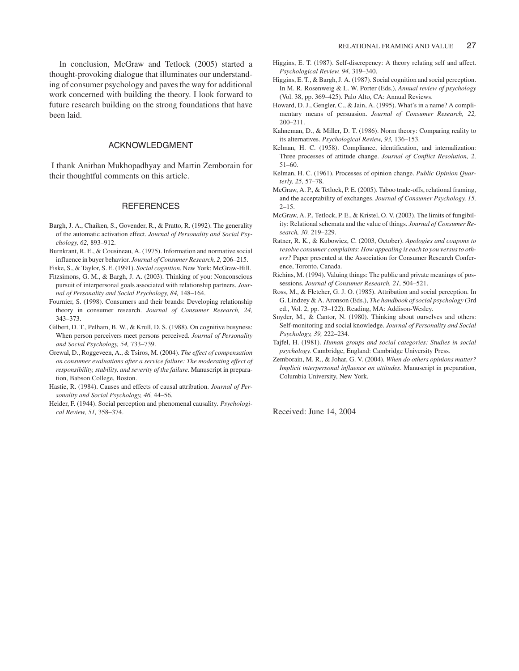In conclusion, McGraw and Tetlock (2005) started a thought-provoking dialogue that illuminates our understanding of consumer psychology and paves the way for additional work concerned with building the theory. I look forward to future research building on the strong foundations that have been laid.

### ACKNOWLEDGMENT

I thank Anirban Mukhopadhyay and Martin Zemborain for their thoughtful comments on this article.

## **REFERENCES**

- Bargh, J. A., Chaiken, S., Govender, R., & Pratto, R. (1992). The generality of the automatic activation effect. *Journal of Personality and Social Psychology, 62,* 893–912.
- Burnkrant, R. E., & Cousineau, A. (1975). Information and normative social influence in buyer behavior. *Journal of Consumer Research, 2,* 206–215.

Fiske, S., & Taylor, S. E. (1991). *Social cognition.* New York: McGraw-Hill.

- Fitzsimons, G. M., & Bargh, J. A. (2003). Thinking of you: Nonconscious pursuit of interpersonal goals associated with relationship partners. *Journal of Personality and Social Psychology, 84,* 148–164.
- Fournier, S. (1998). Consumers and their brands: Developing relationship theory in consumer research. *Journal of Consumer Research, 24,* 343–373.
- Gilbert, D. T., Pelham, B. W., & Krull, D. S. (1988). On cognitive busyness: When person perceivers meet persons perceived. *Journal of Personality and Social Psychology, 54,* 733–739.
- Grewal, D., Roggeveen, A., & Tsiros, M. (2004). *The effect of compensation on consumer evaluations after a service failure: The moderating effect of responsibility, stability, and severity of the failure.* Manuscript in preparation, Babson College, Boston.
- Hastie, R. (1984). Causes and effects of causal attribution. *Journal of Personality and Social Psychology, 46,* 44–56.
- Heider, F. (1944). Social perception and phenomenal causality*. Psychological Review, 51,* 358–374.
- Higgins, E. T. (1987). Self-discrepency: A theory relating self and affect. *Psychological Review, 94,* 319–340.
- Higgins, E. T., & Bargh, J. A. (1987). Social cognition and social perception. In M. R. Rosenweig & L. W. Porter (Eds.), *Annual review of psychology* (Vol. 38, pp. 369–425). Palo Alto, CA: Annual Reviews.
- Howard, D. J., Gengler, C., & Jain, A. (1995). What's in a name? A complimentary means of persuasion. *Journal of Consumer Research, 22,* 200–211.
- Kahneman, D., & Miller, D. T. (1986). Norm theory: Comparing reality to its alternatives. *Psychological Review, 93,* 136–153.
- Kelman, H. C. (1958). Compliance, identification, and internalization: Three processes of attitude change. *Journal of Conflict Resolution, 2,* 51–60.
- Kelman, H. C. (1961). Processes of opinion change. *Public Opinion Quarterly, 25,* 57–78.
- McGraw, A. P., & Tetlock, P. E. (2005). Taboo trade-offs, relational framing, and the acceptability of exchanges. *Journal of Consumer Psychology, 15,*  $2 - 15$ .
- McGraw, A. P., Tetlock, P. E., & Kristel, O. V. (2003). The limits of fungibility: Relational schemata and the value of things. *Journal of Consumer Research, 30,* 219–229.
- Ratner, R. K., & Kubowicz, C. (2003, October). *Apologies and coupons to resolve consumer complaints: How appealing is each to you versus to others?* Paper presented at the Association for Consumer Research Conference, Toronto, Canada.
- Richins, M. (1994). Valuing things: The public and private meanings of possessions. *Journal of Consumer Research, 21,* 504–521.
- Ross, M., & Fletcher, G. J. O. (1985). Attribution and social perception. In G. Lindzey & A. Aronson (Eds.), *The handbook of social psychology* (3rd ed., Vol. 2, pp. 73–122). Reading, MA: Addison-Wesley.
- Snyder, M., & Cantor, N. (1980). Thinking about ourselves and others: Self-monitoring and social knowledge. *Journal of Personality and Social Psychology, 39,* 222–234.
- Tajfel, H. (1981). *Human groups and social categories: Studies in social psychology.* Cambridge, England: Cambridge University Press.
- Zemborain, M. R., & Johar, G. V. (2004). *When do others opinions matter? Implicit interpersonal influence on attitudes*. Manuscript in preparation, Columbia University, New York.

Received: June 14, 2004